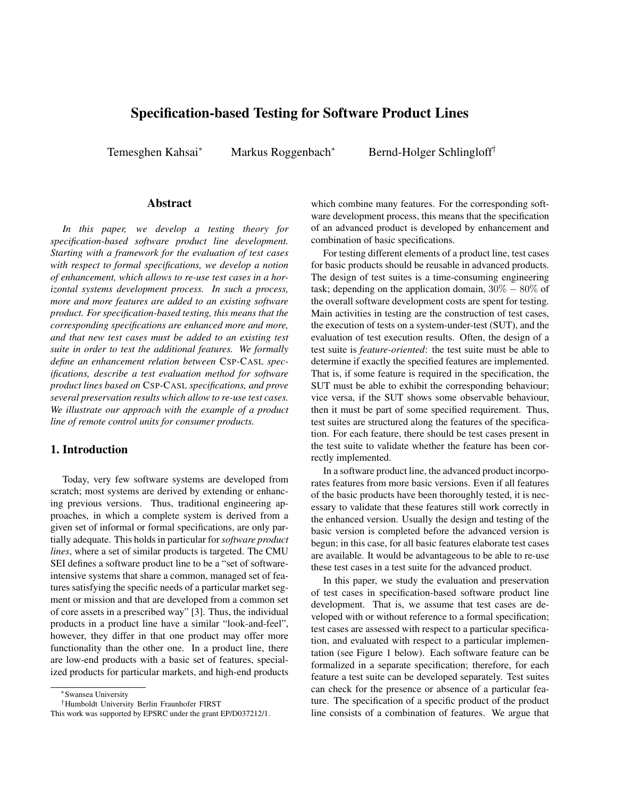# Specification-based Testing for Software Product Lines

Temesghen Kahsai<sup>∗</sup> Markus Roggenbach<sup>∗</sup> Bernd-Holger Schlingloff<sup>†</sup>

## Abstract

*In this paper, we develop a testing theory for specification-based software product line development. Starting with a framework for the evaluation of test cases with respect to formal specifications, we develop a notion of enhancement, which allows to re-use test cases in a horizontal systems development process. In such a process, more and more features are added to an existing software product. For specification-based testing, this means that the corresponding specifications are enhanced more and more, and that new test cases must be added to an existing test suite in order to test the additional features. We formally define an enhancement relation between* CSP*-*CASL *specifications, describe a test evaluation method for software product lines based on* CSP*-*CASL *specifications, and prove several preservation results which allow to re-use test cases. We illustrate our approach with the example of a product line of remote control units for consumer products.*

# 1. Introduction

Today, very few software systems are developed from scratch; most systems are derived by extending or enhancing previous versions. Thus, traditional engineering approaches, in which a complete system is derived from a given set of informal or formal specifications, are only partially adequate. This holds in particular for *software product lines*, where a set of similar products is targeted. The CMU SEI defines a software product line to be a "set of softwareintensive systems that share a common, managed set of features satisfying the specific needs of a particular market segment or mission and that are developed from a common set of core assets in a prescribed way" [3]. Thus, the individual products in a product line have a similar "look-and-feel", however, they differ in that one product may offer more functionality than the other one. In a product line, there are low-end products with a basic set of features, specialized products for particular markets, and high-end products

which combine many features. For the corresponding software development process, this means that the specification of an advanced product is developed by enhancement and combination of basic specifications.

For testing different elements of a product line, test cases for basic products should be reusable in advanced products. The design of test suites is a time-consuming engineering task; depending on the application domain,  $30\% - 80\%$  of the overall software development costs are spent for testing. Main activities in testing are the construction of test cases, the execution of tests on a system-under-test (SUT), and the evaluation of test execution results. Often, the design of a test suite is *feature-oriented*: the test suite must be able to determine if exactly the specified features are implemented. That is, if some feature is required in the specification, the SUT must be able to exhibit the corresponding behaviour; vice versa, if the SUT shows some observable behaviour, then it must be part of some specified requirement. Thus, test suites are structured along the features of the specification. For each feature, there should be test cases present in the test suite to validate whether the feature has been correctly implemented.

In a software product line, the advanced product incorporates features from more basic versions. Even if all features of the basic products have been thoroughly tested, it is necessary to validate that these features still work correctly in the enhanced version. Usually the design and testing of the basic version is completed before the advanced version is begun; in this case, for all basic features elaborate test cases are available. It would be advantageous to be able to re-use these test cases in a test suite for the advanced product.

In this paper, we study the evaluation and preservation of test cases in specification-based software product line development. That is, we assume that test cases are developed with or without reference to a formal specification; test cases are assessed with respect to a particular specification, and evaluated with respect to a particular implementation (see Figure 1 below). Each software feature can be formalized in a separate specification; therefore, for each feature a test suite can be developed separately. Test suites can check for the presence or absence of a particular feature. The specification of a specific product of the product line consists of a combination of features. We argue that

<sup>∗</sup>Swansea University

<sup>†</sup>Humboldt University Berlin Fraunhofer FIRST

This work was supported by EPSRC under the grant EP/D037212/1.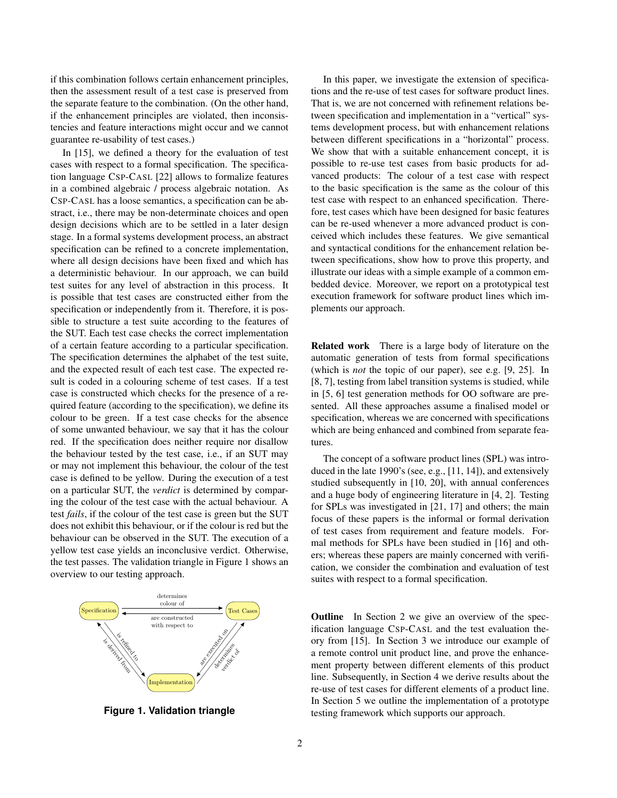if this combination follows certain enhancement principles, then the assessment result of a test case is preserved from the separate feature to the combination. (On the other hand, if the enhancement principles are violated, then inconsistencies and feature interactions might occur and we cannot guarantee re-usability of test cases.)

In [15], we defined a theory for the evaluation of test cases with respect to a formal specification. The specification language CSP-CASL [22] allows to formalize features in a combined algebraic / process algebraic notation. As CSP-CASL has a loose semantics, a specification can be abstract, i.e., there may be non-determinate choices and open design decisions which are to be settled in a later design stage. In a formal systems development process, an abstract specification can be refined to a concrete implementation, where all design decisions have been fixed and which has a deterministic behaviour. In our approach, we can build test suites for any level of abstraction in this process. It is possible that test cases are constructed either from the specification or independently from it. Therefore, it is possible to structure a test suite according to the features of the SUT. Each test case checks the correct implementation of a certain feature according to a particular specification. The specification determines the alphabet of the test suite, and the expected result of each test case. The expected result is coded in a colouring scheme of test cases. If a test case is constructed which checks for the presence of a required feature (according to the specification), we define its colour to be green. If a test case checks for the absence of some unwanted behaviour, we say that it has the colour red. If the specification does neither require nor disallow the behaviour tested by the test case, i.e., if an SUT may or may not implement this behaviour, the colour of the test case is defined to be yellow. During the execution of a test on a particular SUT, the *verdict* is determined by comparing the colour of the test case with the actual behaviour. A test *fails*, if the colour of the test case is green but the SUT does not exhibit this behaviour, or if the colour is red but the behaviour can be observed in the SUT. The execution of a yellow test case yields an inconclusive verdict. Otherwise, the test passes. The validation triangle in Figure 1 shows an overview to our testing approach.



**Figure 1. Validation triangle**

In this paper, we investigate the extension of specifications and the re-use of test cases for software product lines. That is, we are not concerned with refinement relations between specification and implementation in a "vertical" systems development process, but with enhancement relations between different specifications in a "horizontal" process. We show that with a suitable enhancement concept, it is possible to re-use test cases from basic products for advanced products: The colour of a test case with respect to the basic specification is the same as the colour of this test case with respect to an enhanced specification. Therefore, test cases which have been designed for basic features can be re-used whenever a more advanced product is conceived which includes these features. We give semantical and syntactical conditions for the enhancement relation between specifications, show how to prove this property, and illustrate our ideas with a simple example of a common embedded device. Moreover, we report on a prototypical test execution framework for software product lines which implements our approach.

Related work There is a large body of literature on the automatic generation of tests from formal specifications (which is *not* the topic of our paper), see e.g. [9, 25]. In [8, 7], testing from label transition systems is studied, while in [5, 6] test generation methods for OO software are presented. All these approaches assume a finalised model or specification, whereas we are concerned with specifications which are being enhanced and combined from separate features.

The concept of a software product lines (SPL) was introduced in the late 1990's (see, e.g., [11, 14]), and extensively studied subsequently in [10, 20], with annual conferences and a huge body of engineering literature in [4, 2]. Testing for SPLs was investigated in [21, 17] and others; the main focus of these papers is the informal or formal derivation of test cases from requirement and feature models. Formal methods for SPLs have been studied in [16] and others; whereas these papers are mainly concerned with verification, we consider the combination and evaluation of test suites with respect to a formal specification.

**Outline** In Section 2 we give an overview of the specification language CSP-CASL and the test evaluation theory from [15]. In Section 3 we introduce our example of a remote control unit product line, and prove the enhancement property between different elements of this product line. Subsequently, in Section 4 we derive results about the re-use of test cases for different elements of a product line. In Section 5 we outline the implementation of a prototype testing framework which supports our approach.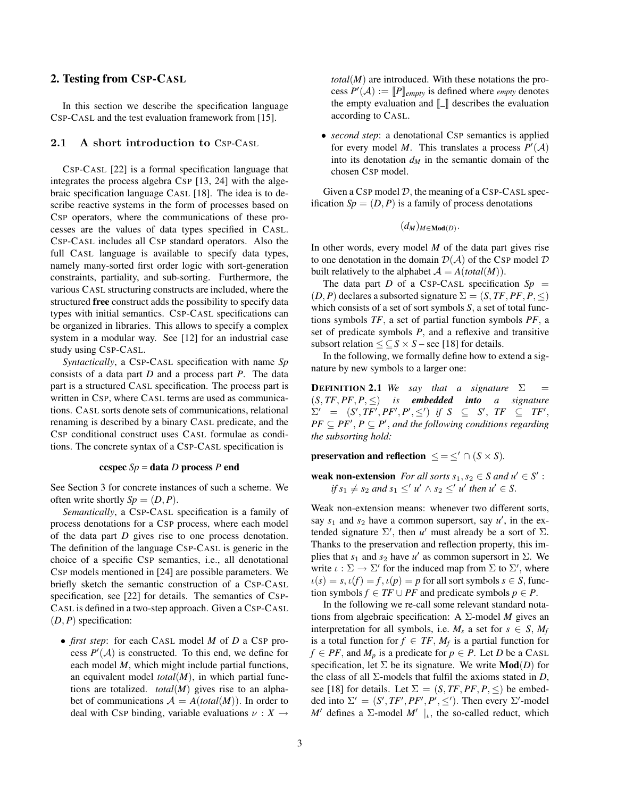## 2. Testing from CSP-CASL

In this section we describe the specification language CSP-CASL and the test evaluation framework from [15].

## 2.1 A short introduction to CSP-CASL

CSP-CASL [22] is a formal specification language that integrates the process algebra CSP [13, 24] with the algebraic specification language CASL [18]. The idea is to describe reactive systems in the form of processes based on CSP operators, where the communications of these processes are the values of data types specified in CASL. CSP-CASL includes all CSP standard operators. Also the full CASL language is available to specify data types, namely many-sorted first order logic with sort-generation constraints, partiality, and sub-sorting. Furthermore, the various CASL structuring constructs are included, where the structured free construct adds the possibility to specify data types with initial semantics. CSP-CASL specifications can be organized in libraries. This allows to specify a complex system in a modular way. See [12] for an industrial case study using CSP-CASL.

*Syntactically*, a CSP-CASL specification with name *Sp* consists of a data part *D* and a process part *P*. The data part is a structured CASL specification. The process part is written in CSP, where CASL terms are used as communications. CASL sorts denote sets of communications, relational renaming is described by a binary CASL predicate, and the CSP conditional construct uses CASL formulae as conditions. The concrete syntax of a CSP-CASL specification is

#### ccspec *Sp* = data *D* process *P* end

See Section 3 for concrete instances of such a scheme. We often write shortly  $Sp = (D, P)$ .

*Semantically*, a CSP-CASL specification is a family of process denotations for a CSP process, where each model of the data part *D* gives rise to one process denotation. The definition of the language CSP-CASL is generic in the choice of a specific CSP semantics, i.e., all denotational CSP models mentioned in [24] are possible parameters. We briefly sketch the semantic construction of a CSP-CASL specification, see [22] for details. The semantics of CSP-CASL is defined in a two-step approach. Given a CSP-CASL  $(D, P)$  specification:

• *first step*: for each CASL model *M* of *D* a CSP process  $P'(\mathcal{A})$  is constructed. To this end, we define for each model *M*, which might include partial functions, an equivalent model *total*(*M*), in which partial functions are totalized. *total*(*M*) gives rise to an alphabet of communications  $A = A(total(M))$ . In order to deal with CSP binding, variable evaluations  $\nu : X \rightarrow$  *total*(*M*) are introduced. With these notations the process  $P'(\mathcal{A}) := [P]_{empty}$  is defined where *empty* denotes the empty evaluation and  $\llbracket \_ \rrbracket$  describes the evaluation according to CASL.

• *second step*: a denotational CSP semantics is applied for every model *M*. This translates a process  $P'(\mathcal{A})$ into its denotation  $d_M$  in the semantic domain of the chosen CSP model.

Given a CSP model  $D$ , the meaning of a CSP-CASL specification  $Sp = (D, P)$  is a family of process denotations

$$
(d_M)_{M\in \mathbf{Mod}(D)}.
$$

In other words, every model *M* of the data part gives rise to one denotation in the domain  $\mathcal{D}(\mathcal{A})$  of the CSP model  $\mathcal D$ built relatively to the alphabet  $A = A(total(M))$ .

The data part *D* of a CSP-CASL specification  $Sp =$  $(D, P)$  declares a subsorted signature  $\Sigma = (S, TF, PF, P, \leq)$ which consists of a set of sort symbols *S*, a set of total functions symbols *TF*, a set of partial function symbols *PF*, a set of predicate symbols *P*, and a reflexive and transitive subsort relation  $\leq \subseteq S \times S$  – see [18] for details.

In the following, we formally define how to extend a signature by new symbols to a larger one:

**DEFINITION 2.1** *We say that a signature*  $\Sigma =$  $(S, TF, PF, P, \leq)$  *is embedded into a signature*  $\Sigma' = (S', TF', PF', P', \leq') \text{ if } S \subseteq S', TF \subseteq TF',$  $PF \subseteq PF', P \subseteq P'$ , and the following conditions regarding *the subsorting hold:*

**preservation and reflection**  $\leq = \leq' \cap (S \times S)$ .

weak non-extension *For all sorts*  $s_1, s_2 \in S$  *and*  $u' \in S'$ : *if*  $s_1 \neq s_2$  *and*  $s_1 \leq u' \wedge s_2 \leq u'$  *then*  $u' \in S$ .

Weak non-extension means: whenever two different sorts, say  $s_1$  and  $s_2$  have a common supersort, say  $u'$ , in the extended signature  $\Sigma'$ , then *u'* must already be a sort of  $\Sigma$ . Thanks to the preservation and reflection property, this implies that  $s_1$  and  $s_2$  have  $u'$  as common supersort in  $\Sigma$ . We write  $\iota : \Sigma \to \Sigma'$  for the induced map from  $\Sigma$  to  $\Sigma'$ , where  $u(s) = s$ ,  $u(f) = f$ ,  $u(p) = p$  for all sort symbols  $s \in S$ , function symbols *f* ∈ *TF* ∪ *PF* and predicate symbols  $p ∈ P$ .

In the following we re-call some relevant standard notations from algebraic specification: A Σ-model *M* gives an interpretation for all symbols, i.e.  $M_s$  a set for  $s \in S$ ,  $M_f$ is a total function for  $f \in TF$ ,  $M_f$  is a partial function for  $f \in PF$ , and  $M_p$  is a predicate for  $p \in P$ . Let *D* be a CASL specification, let  $\Sigma$  be its signature. We write **Mod**(*D*) for the class of all  $\Sigma$ -models that fulfil the axioms stated in *D*, see [18] for details. Let  $\Sigma = (S, TF, PF, P, \leq)$  be embedded into  $\Sigma' = (S', TF', PF', P', \leq')$ . Then every  $\Sigma'$ -model *M'* defines a  $\Sigma$ -model *M'*  $\vert_{\iota}$ , the so-called reduct, which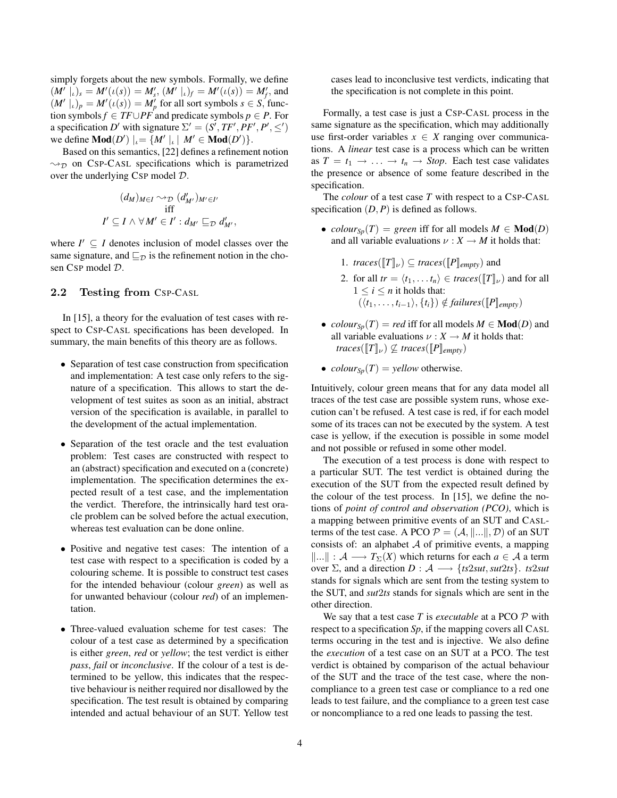simply forgets about the new symbols. Formally, we define  $(M' \mid_{\iota})_s = M'(\iota(s)) = M'_s, (M' \mid_{\iota})_f = M'(\iota(s)) = M'_f$ , and  $(M' \mid_{\iota})_p = M'(\iota(s)) = M'_p$  for all sort symbols  $s \in S$ , function symbols *f* ∈ *TF*∪*PF* and predicate symbols *p* ∈ *P*. For a specification *D'* with signature  $\Sigma' = (S', TF', PF', P', \leq')$ we define  $\textbf{Mod}(D') |_{\iota} = \{ M' |_{\iota} | M' \in \textbf{Mod}(D') \}.$ 

Based on this semantics, [22] defines a refinement notion  $\rightsquigarrow_{\mathcal{D}}$  on CSP-CASL specifications which is parametrized over the underlying CSP model D.

$$
(d_M)_{M \in I} \sim_{\mathcal{D}} (d'_{M'})_{M' \in I'}
$$
  
iff  

$$
I' \subseteq I \land \forall M' \in I': d_{M'} \sqsubseteq_{\mathcal{D}} d'_{M'},
$$

where  $I' \subseteq I$  denotes inclusion of model classes over the same signature, and  $\sqsubseteq_{\mathcal{D}}$  is the refinement notion in the chosen CSP model D.

# 2.2 Testing from CSP-CASL

In [15], a theory for the evaluation of test cases with respect to CSP-CASL specifications has been developed. In summary, the main benefits of this theory are as follows.

- Separation of test case construction from specification and implementation: A test case only refers to the signature of a specification. This allows to start the development of test suites as soon as an initial, abstract version of the specification is available, in parallel to the development of the actual implementation.
- Separation of the test oracle and the test evaluation problem: Test cases are constructed with respect to an (abstract) specification and executed on a (concrete) implementation. The specification determines the expected result of a test case, and the implementation the verdict. Therefore, the intrinsically hard test oracle problem can be solved before the actual execution, whereas test evaluation can be done online.
- Positive and negative test cases: The intention of a test case with respect to a specification is coded by a colouring scheme. It is possible to construct test cases for the intended behaviour (colour *green*) as well as for unwanted behaviour (colour *red*) of an implementation.
- Three-valued evaluation scheme for test cases: The colour of a test case as determined by a specification is either *green*, *red* or *yellow*; the test verdict is either *pass*, *fail* or *inconclusive*. If the colour of a test is determined to be yellow, this indicates that the respective behaviour is neither required nor disallowed by the specification. The test result is obtained by comparing intended and actual behaviour of an SUT. Yellow test

cases lead to inconclusive test verdicts, indicating that the specification is not complete in this point.

Formally, a test case is just a CSP-CASL process in the same signature as the specification, which may additionally use first-order variables  $x \in X$  ranging over communications. A *linear* test case is a process which can be written as  $T = t_1 \rightarrow \ldots \rightarrow t_n \rightarrow Stop$ . Each test case validates the presence or absence of some feature described in the specification.

The *colour* of a test case *T* with respect to a CSP-CASL specification  $(D, P)$  is defined as follows.

• *colour*<sub>Sp</sub> $(T)$  = *green* iff for all models  $M \in \textbf{Mod}(D)$ and all variable evaluations  $\nu : X \to M$  it holds that:

\n- 1. 
$$
traces([\![T]\!]_{\nu}) \subseteq traces([\![P]\!]_{empty})
$$
 and
\n- 2. for all  $tr = \langle t_1, \ldots t_n \rangle \in traces([\![T]\!]_{\nu})$  and for all  $1 \leq i \leq n$  it holds that:  $(\langle t_1, \ldots, t_{i-1} \rangle, \{t_i\}) \notin failures([\![P]\!]_{empty})$
\n

- *colour*<sub>Sp</sub> $(T)$  = *red* iff for all models  $M \in \textbf{Mod}(D)$  and all variable evaluations  $\nu : X \to M$  it holds that: *traces*( $[T]_{\nu}$ )  $\nsubseteq$  *traces*( $[P]_{\text{empty}}$ )
- *colour*<sub>*Sp*</sub> $(T)$  = *yellow* otherwise.

Intuitively, colour green means that for any data model all traces of the test case are possible system runs, whose execution can't be refused. A test case is red, if for each model some of its traces can not be executed by the system. A test case is yellow, if the execution is possible in some model and not possible or refused in some other model.

The execution of a test process is done with respect to a particular SUT. The test verdict is obtained during the execution of the SUT from the expected result defined by the colour of the test process. In [15], we define the notions of *point of control and observation (PCO)*, which is a mapping between primitive events of an SUT and CASLterms of the test case. A PCO  $P = (A, ||...||, D)$  of an SUT consists of: an alphabet  $A$  of primitive events, a mapping  $\|\ldots\|$  :  $\mathcal{A}$  →  $T_{\Sigma}(X)$  which returns for each  $a \in \mathcal{A}$  a term over  $\Sigma$ , and a direction  $D : A \longrightarrow \{ts2sut, sut2ts\}$ .  $ts2sut$ stands for signals which are sent from the testing system to the SUT, and *sut*2*ts* stands for signals which are sent in the other direction.

We say that a test case *T* is *executable* at a PCO P with respect to a specification *Sp*, if the mapping covers all CASL terms occuring in the test and is injective. We also define the *execution* of a test case on an SUT at a PCO. The test verdict is obtained by comparison of the actual behaviour of the SUT and the trace of the test case, where the noncompliance to a green test case or compliance to a red one leads to test failure, and the compliance to a green test case or noncompliance to a red one leads to passing the test.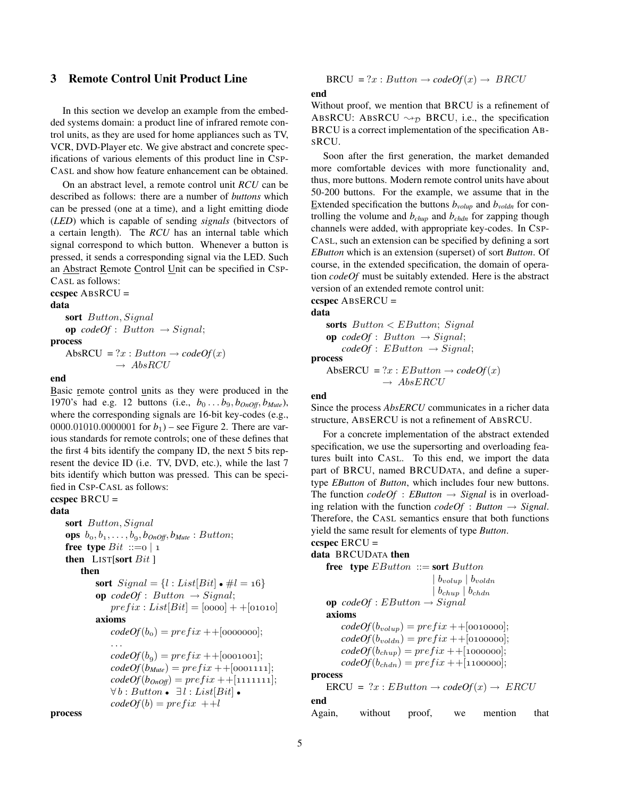# 3 Remote Control Unit Product Line

In this section we develop an example from the embedded systems domain: a product line of infrared remote control units, as they are used for home appliances such as TV, VCR, DVD-Player etc. We give abstract and concrete specifications of various elements of this product line in CSP-CASL and show how feature enhancement can be obtained.

On an abstract level, a remote control unit *RCU* can be described as follows: there are a number of *buttons* which can be pressed (one at a time), and a light emitting diode (*LED*) which is capable of sending *signals* (bitvectors of a certain length). The *RCU* has an internal table which signal correspond to which button. Whenever a button is pressed, it sends a corresponding signal via the LED. Such an Abstract Remote Control Unit can be specified in CSP-CASL as follows:

ccspec ABSRCU =

### data

sort Button, Signal **op**  $codeOf: Button \rightarrow Signal;$ process

 $\text{AbsRCU} = ?x : Button \rightarrow codeOf(x)$  $\rightarrow$  AbsRCU

## end

Basic remote control units as they were produced in the 1970's had e.g. 12 buttons (i.e.,  $b_0 \ldots b_9$ ,  $b_{OnOff}, b_{Mute}$ ), where the corresponding signals are 16-bit key-codes (e.g., 0000.01010.0000001 for *b*1) – see Figure 2. There are various standards for remote controls; one of these defines that the first 4 bits identify the company ID, the next 5 bits represent the device ID (i.e. TV, DVD, etc.), while the last 7 bits identify which button was pressed. This can be specified in CSP-CASL as follows:

# ccspec BRCU =

data

```
sort Button, Signal
 ops b_0, b_1, \ldots, b_q, b_{OnOff}, b_{Mute}: Button;
 free type Bit ::= 0 | 1then LIST[sort Bit]then
        sort Signal = \{l : List[Bit] \bullet \# l = 16\}op codeOf: Button \rightarrow Signal;prefix: List[Bit] = [0000] + +[01010]axioms
            codeOf(b_0) = prefix + [0000000];. . .
            codeOf(b_{\alpha}) = prefix + [0001001];codeOf(b_{Mute}) = prefix + [0001111];codeOf(b_{OnOff}) = prefix + [1111111];\forall b : Button \bullet \exists l : List[Bit] \bulletcodeOf(b) = prefix +lprocess
```

$$
BRCU = ?x : Button \rightarrow codeOf(x) \rightarrow BRCU
$$

#### end

Without proof, we mention that BRCU is a refinement of ABSRCU: ABSRCU  $\rightsquigarrow_{\mathcal{D}}$  BRCU, i.e., the specification BRCU is a correct implementation of the specification AB-SRCU.

Soon after the first generation, the market demanded more comfortable devices with more functionality and, thus, more buttons. Modern remote control units have about 50-200 buttons. For the example, we assume that in the Extended specification the buttons *bvolup* and *bvoldn* for controlling the volume and *bchup* and *bchdn* for zapping though channels were added, with appropriate key-codes. In CSP-CASL, such an extension can be specified by defining a sort *EButton* which is an extension (superset) of sort *Button*. Of course, in the extended specification, the domain of operation *codeOf* must be suitably extended. Here is the abstract version of an extended remote control unit: ccspec ABSERCU =

# data

**sorts** *Button* 
$$
\lt
$$
 *EButton; Signal*  
\n**op** *codeOf* : *Button*  $\rightarrow$  *Signal*; *codeOf* : *EButton*  $\rightarrow$  *Signal*; **cores**

process

$$
AbsERCU = ?x : EButton \rightarrow codeOf(x) \rightarrow AbsERCU
$$

#### end

Since the process *AbsERCU* communicates in a richer data structure, ABSERCU is not a refinement of ABSRCU.

For a concrete implementation of the abstract extended specification, we use the supersorting and overloading features built into CASL. To this end, we import the data part of BRCU, named BRCUDATA, and define a supertype *EButton* of *Button*, which includes four new buttons. The function  $codeOf : EButton \rightarrow Signal$  is in overloading relation with the function  $codeOf : Button \rightarrow Signal$ . Therefore, the CASL semantics ensure that both functions yield the same result for elements of type *Button*. ccspec ERCU =

## data BRCUDATA then

free type  $EButton ::=$  sort  $Button$ 

```
| b_{volun} | b_{voldn} || b_{chup} | b_{chdn}op codeOf : EButton \rightarrow Signalaxioms
    codeOf(b_{volup}) = prefix + [0010000];codeOf(b_{voldn}) = prefix + [0100000];codeOf(b_{chup}) = prefix + [1000000];codeOf(b_{chdn}) = prefix + [1100000];process
ERCU = ?x : EButton \rightarrow codeOf(x) \rightarrow ERCUend
```
Again, without proof, we mention that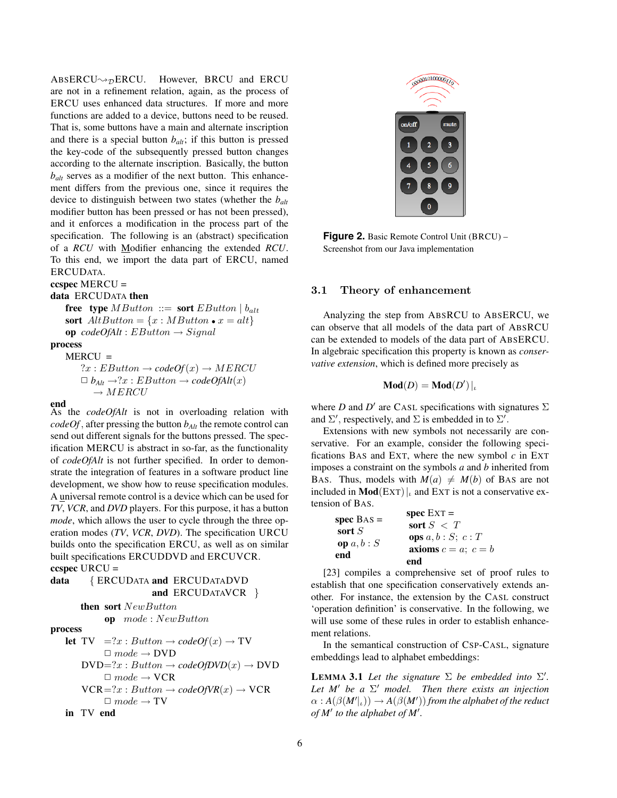ABSERCU $\rightsquigarrow_{\mathcal{D}}$ ERCU. However, BRCU and ERCU are not in a refinement relation, again, as the process of ERCU uses enhanced data structures. If more and more functions are added to a device, buttons need to be reused. That is, some buttons have a main and alternate inscription and there is a special button *balt*; if this button is pressed the key-code of the subsequently pressed button changes according to the alternate inscription. Basically, the button *balt* serves as a modifier of the next button. This enhancement differs from the previous one, since it requires the device to distinguish between two states (whether the *balt* modifier button has been pressed or has not been pressed), and it enforces a modification in the process part of the specification. The following is an (abstract) specification of a *RCU* with Modifier enhancing the extended *RCU*. To this end, we import the data part of ERCU, named ERCUDATA.

# ccspec MERCU =

## data ERCUDATA then

**free** type MButton ::= sort EButton  $| b_{alt}$ sort  $AltButton = \{x : MButton \bullet x = alt\}$ op  $codeOfAlt : EButton \rightarrow Signal$ 

#### process

 $MERCU =$  $?x: EButton \rightarrow codeOf(x) \rightarrow MERCU$  $\Box$  *b*<sub>Alt</sub>  $\rightarrow$ ?x : *EButton*  $\rightarrow$  *codeOfAlt*(*x*)  $\rightarrow MERCU$ 

#### end

As the *codeOfAlt* is not in overloading relation with *codeOf*, after pressing the button  $b_{Alt}$  the remote control can send out different signals for the buttons pressed. The specification MERCU is abstract in so-far, as the functionality of *codeOfAlt* is not further specified. In order to demonstrate the integration of features in a software product line development, we show how to reuse specification modules. A universal remote control is a device which can be used for *TV*, *VCR*, and *DVD* players. For this purpose, it has a button *mode*, which allows the user to cycle through the three operation modes (*TV*, *VCR*, *DVD*). The specification URCU builds onto the specification ERCU, as well as on similar built specifications ERCUDDVD and ERCUVCR. ccspec  $URCU =$ 

```
data { ERCUDATA and ERCUDATADVD
              and ERCUDATAVCR }
  then sort NewButton
      op mode : NewButton
```
process

let TV = 
$$
?x : Button \rightarrow codeOf(x) \rightarrow TV
$$

\n $\Box$  mode  $\rightarrow$  DVD\nDVD =  $?x : Button \rightarrow codeOfDVD(x) \rightarrow DVD$ 

\n $\Box$  mode  $\rightarrow$  VCR\n $\Box$  mode  $\rightarrow$  VCR\nVCR =  $?x : Button \rightarrow codeOfVR(x) \rightarrow VCR$ 

\n $\Box$  mode  $\rightarrow$  TV\nin TV end



**Figure 2.** Basic Remote Control Unit (BRCU) – Screenshot from our Java implementation

## 3.1 Theory of enhancement

Analyzing the step from ABSRCU to ABSERCU, we can observe that all models of the data part of ABSRCU can be extended to models of the data part of ABSERCU. In algebraic specification this property is known as *conservative extension*, which is defined more precisely as

$$
\mathbf{Mod}(D) = \mathbf{Mod}(D')|_{\iota}
$$

where *D* and  $D'$  are CASL specifications with signatures  $\Sigma$ and  $\Sigma'$ , respectively, and  $\Sigma$  is embedded in to  $\Sigma'$ .

Extensions with new symbols not necessarily are conservative. For an example, consider the following specifications BAS and EXT, where the new symbol  $c$  in EXT imposes a constraint on the symbols *a* and *b* inherited from BAS. Thus, models with  $M(a) \neq M(b)$  of BAS are not included in  $\text{Mod}(ExT)|_t$  and EXT is not a conservative extension of BAS.

| spec $\text{BAS} =$ | $spec$ EXT =                    |
|---------------------|---------------------------------|
| sort $S$            | sort $S < T$                    |
|                     | <b>ops</b> $a, b : S$ ; $c : T$ |
| op $a, b : S$       | axioms $c = a$ ; $c = b$        |
| end                 | end                             |

[23] compiles a comprehensive set of proof rules to establish that one specification conservatively extends another. For instance, the extension by the CASL construct 'operation definition' is conservative. In the following, we will use some of these rules in order to establish enhancement relations.

In the semantical construction of CSP-CASL, signature embeddings lead to alphabet embeddings:

**LEMMA 3.1** Let the signature  $\Sigma$  be embedded into  $\Sigma'$ . Let  $M'$  be a  $\Sigma'$  model. Then there exists an injection  $\alpha : A(\beta(M'|_{\iota})) \to A(\beta(M'))$  from the alphabet of the reduct *of*  $M'$  to the alphabet of  $M'$ .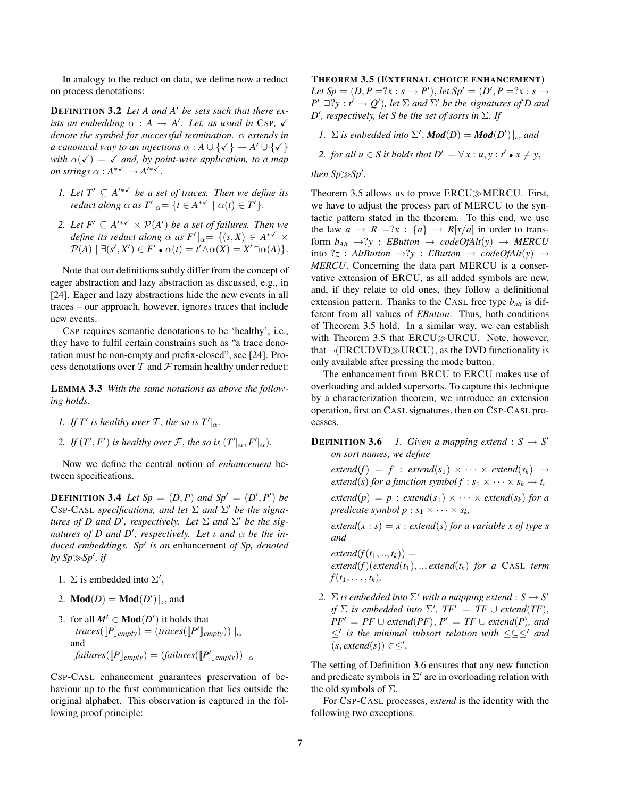In analogy to the reduct on data, we define now a reduct on process denotations:

**DEFINITION 3.2** Let A and A' be sets such that there ex*ists an embedding*  $\alpha : A \rightarrow A'$ . Let, as usual in CSP,  $\checkmark$ *denote the symbol for successful termination.* α *extends in a canonical way to an injections*  $\alpha : A \cup \{ \checkmark \} \to A' \cup \{ \checkmark \}$ *with*  $\alpha(\checkmark) = \checkmark$  *and, by point-wise application, to a map on strings*  $\alpha : A^{*\checkmark} \to A'^*\checkmark$ .

- *1. Let*  $T' \subseteq A'^{* \checkmark}$  *be a set of traces. Then we define its reduct along*  $\alpha$  *as*  $T'|\alpha = \{t \in A^{*\checkmark} \mid \alpha(t) \in T'\}.$
- 2. Let  $F' \subseteq A'^{* \checkmark} \times \mathcal{P}(A')$  *be a set of failures. Then we define its reduct along*  $\alpha$  *as*  $F'|_{\alpha} = \{(s, X) \in A^{*\checkmark} \times A\}$  $\mathcal{P}(A) \mid \exists (s', X') \in F' \cdot \alpha(t) = t' \wedge \alpha(X) = X' \cap \alpha(A)$ .

Note that our definitions subtly differ from the concept of eager abstraction and lazy abstraction as discussed, e.g., in [24]. Eager and lazy abstractions hide the new events in all traces – our approach, however, ignores traces that include new events.

CSP requires semantic denotations to be 'healthy', i.e., they have to fulfil certain constrains such as "a trace denotation must be non-empty and prefix-closed", see [24]. Process denotations over  $T$  and  $\mathcal F$  remain healthy under reduct:

LEMMA 3.3 *With the same notations as above the following holds.*

- *1.* If T' is healthy over T, the so is  $T'|_{\alpha}$ .
- 2. *If*  $(T', F')$  *is healthy over*  $\mathcal{F}$ *, the so is*  $(T'|\alpha, F'|\alpha)$ *.*

Now we define the central notion of *enhancement* between specifications.

**DEFINITION 3.4** Let  $Sp = (D, P)$  and  $Sp' = (D', P')$  be CSP-CASL *specifications, and let*  $\Sigma$  *and*  $\Sigma'$  *be the signatures of D and D', respectively. Let*  $\Sigma$  *and*  $\Sigma'$  *be the signatures of D and D', respectively. Let*  $\iota$  *and*  $\alpha$  *be the induced embeddings. Sp*<sup>0</sup> *is an* enhancement *of Sp, denoted* by  $Sp \gg Sp'$ , *if* 

- 1.  $\Sigma$  is embedded into  $\Sigma'$ ,
- 2. **Mod** $(D) = \textbf{Mod}(D')|_t$ , and
- 3. for all  $M' \in Mod(D')$  it holds that  $trace\left(\llbracket P \rrbracket_{empty}\right) = (traces\left(\llbracket P' \rrbracket_{empty})\right)|_{\alpha}$ and  $f\text{ailures}(\llbracket P \rrbracket_{empty}) = (f\text{ailures}(\llbracket P' \rrbracket_{empty})) |_{\alpha}$

CSP-CASL enhancement guarantees preservation of behaviour up to the first communication that lies outside the original alphabet. This observation is captured in the following proof principle:

#### THEOREM 3.5 (EXTERNAL CHOICE ENHANCEMENT)

*Let*  $Sp = (D, P = ?x : s \to P')$ , *let*  $Sp' = (D', P = ?x : s \to P')$  $P' \square ?y : t' \rightarrow Q'$ , let  $\Sigma$  *and*  $\Sigma'$  *be the signatures of D and D* 0 *, respectively, let S be the set of sorts in* Σ*. If*

- *1.*  $\Sigma$  *is embedded into*  $\Sigma'$ , *Mod* $(D) =$ *Mod* $(D')|_i$ , *and*
- 2. for all  $u \in S$  it holds that  $D' \models \forall x : u, y : t' \bullet x \neq y$ ,
- *then*  $Sp \gg Sp'.$

Theorem 3.5 allows us to prove  $ERCU \gg MERCU$ . First, we have to adjust the process part of MERCU to the syntactic pattern stated in the theorem. To this end, we use the law  $a \rightarrow R = ?x : \{a\} \rightarrow R[x/a]$  in order to transform  $b_{Alt} \rightarrow ?y$  : *EButton*  $\rightarrow$  *codeOfAlt*(*y*)  $\rightarrow$  *MERCU* into ?*z* : *AltButton* →?*y* : *EButton* → *codeOfAlt*(*y*) → *MERCU*. Concerning the data part MERCU is a conservative extension of ERCU, as all added symbols are new, and, if they relate to old ones, they follow a definitional extension pattern. Thanks to the CASL free type *balt* is different from all values of *EButton*. Thus, both conditions of Theorem 3.5 hold. In a similar way, we can establish with Theorem 3.5 that  $ERCU\gg URCU$ . Note, however, that  $\neg$ (ERCUDVD $\gg$ URCU), as the DVD functionality is only available after pressing the mode button.

The enhancement from BRCU to ERCU makes use of overloading and added supersorts. To capture this technique by a characterization theorem, we introduce an extension operation, first on CASL signatures, then on CSP-CASL processes.

**DEFINITION 3.6** *1. Given a mapping extend* :  $S \rightarrow S'$ *on sort names, we define*

 $extend(f) = f$  :  $extend(s_1) \times \cdots \times extend(s_k) \rightarrow$ *extend*(*s*) *for a function symbol*  $f : s_1 \times \cdots \times s_k \rightarrow t$ *,* 

 $extend(p) = p$  :  $extend(s_1) \times \cdots \times extend(s_k)$  *for a predicate symbol*  $p : s_1 \times \cdots \times s_k$ *,* 

 $extend(x : s) = x : extend(s)$  *for a variable x of type s and*

 $extend(f(t_1, ..., t_k)) =$  $extend(f)(extend(t_1), \ldots, extend(t_k))$  *for a* CASL *term*  $f(t_1, \ldots, t_k)$ ,

2.  $\Sigma$  *is embedded into*  $\Sigma'$  *with a mapping extend* :  $S \to S'$ *if*  $\Sigma$  *is embedded into*  $\Sigma'$ ,  $TF' = TF \cup \text{extend}(TF)$ ,  $PF' = PF \cup extend(PF), P' = TF \cup extend(P), and$ ≤0 *is the minimal subsort relation with* ≤⊆≤<sup>0</sup> *and*  $(s, extend(s)) \in \leq'.$ 

The setting of Definition 3.6 ensures that any new function and predicate symbols in  $\Sigma'$  are in overloading relation with the old symbols of  $\Sigma$ .

For CSP-CASL processes, *extend* is the identity with the following two exceptions: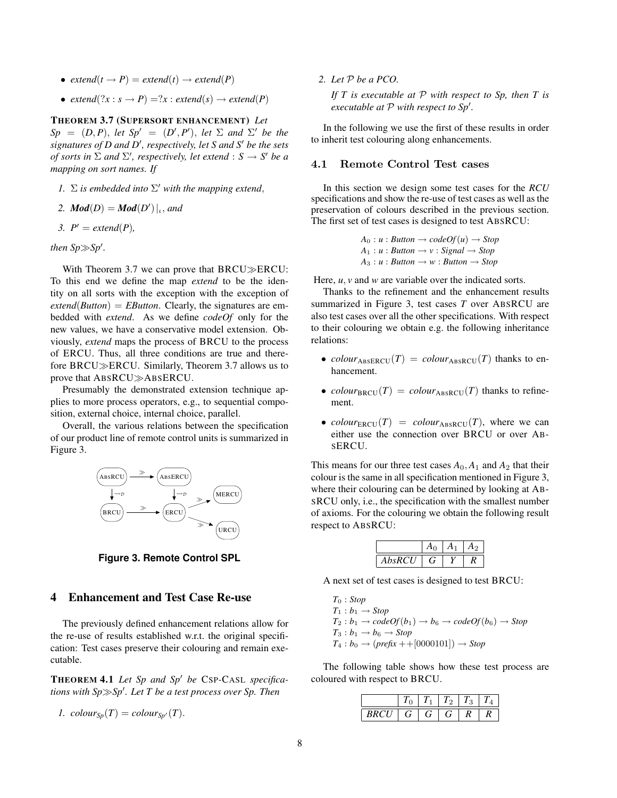- $extend(t \rightarrow P) = extend(t) \rightarrow extend(P)$
- $extend(?x : s \rightarrow P) = ?x : extend(s) \rightarrow extend(P)$

#### THEOREM 3.7 (SUPERSORT ENHANCEMENT) *Let*

 $Sp = (D, P)$ , *let*  $Sp' = (D', P')$ , *let*  $\Sigma$  *and*  $\Sigma'$  *be the signatures of D and D', respectively, let S and S' be the sets of sorts in*  $\Sigma$  *and*  $\Sigma'$ *, respectively, let extend* :  $S \rightarrow S'$  *be a mapping on sort names. If*

- 1.  $\Sigma$  *is embedded into*  $\Sigma'$  *with the mapping extend,*
- 2.  $Mod(D) = Mod(D')|_l$ , and
- *3.*  $P' = extend(P)$ ,

*then*  $Sp \gg Sp'.$ 

With Theorem 3.7 we can prove that  $BRCU\gg ERCU$ : To this end we define the map *extend* to be the identity on all sorts with the exception with the exception of  $extend(Button) = EButton$ . Clearly, the signatures are embedded with *extend*. As we define *codeOf* only for the new values, we have a conservative model extension. Obviously, *extend* maps the process of BRCU to the process of ERCU. Thus, all three conditions are true and therefore BRCU $\gg$ ERCU. Similarly, Theorem 3.7 allows us to prove that ABSRCU $\gg$ ABSERCU.

Presumably the demonstrated extension technique applies to more process operators, e.g., to sequential composition, external choice, internal choice, parallel.

Overall, the various relations between the specification of our product line of remote control units is summarized in Figure 3.



**Figure 3. Remote Control SPL**

## 4 Enhancement and Test Case Re-use

The previously defined enhancement relations allow for the re-use of results established w.r.t. the original specification: Test cases preserve their colouring and remain executable.

THEOREM 4.1 Let Sp and Sp' be CSP-CASL specifica*tions with SpSp*<sup>0</sup> *. Let T be a test process over Sp. Then*

*1. colour*<sub>*Sp</sub>* $(T) = colour_{Sp}(T)$ .</sub>

*2. Let* P *be a PCO.*

*If T is executable at* P *with respect to Sp, then T is executable at*  $P$  *with respect to Sp'.* 

In the following we use the first of these results in order to inherit test colouring along enhancements.

### 4.1 Remote Control Test cases

In this section we design some test cases for the *RCU* specifications and show the re-use of test cases as well as the preservation of colours described in the previous section. The first set of test cases is designed to test ABSRCU:

> $A_0: u:$  *Button*  $\rightarrow$  *codeOf*(*u*)  $\rightarrow$  *Stop*  $A_1: u:$  *Button*  $\rightarrow$  *v* : *Signal*  $\rightarrow$  *Stop*  $A_3: u:$  *Button*  $\rightarrow w:$  *Button*  $\rightarrow$  *Stop*

Here, *u*, *v* and *w* are variable over the indicated sorts.

Thanks to the refinement and the enhancement results summarized in Figure 3, test cases *T* over ABSRCU are also test cases over all the other specifications. With respect to their colouring we obtain e.g. the following inheritance relations:

- *colour*<sub>ABSERCU</sub> $(T)$  = *colour*<sub>ABSRCU</sub> $(T)$  thanks to enhancement.
- *colour*<sub>BRCU</sub> $(T)$  = *colour*<sub>ABSRCU</sub> $(T)$  thanks to refinement.
- *colour*<sub>ERCU</sub> $(T)$  = *colour*<sub>ABSRCU</sub> $(T)$ , where we can either use the connection over BRCU or over AB-SERCU.

This means for our three test cases  $A_0$ ,  $A_1$  and  $A_2$  that their colour is the same in all specification mentioned in Figure 3, where their colouring can be determined by looking at AB-SRCU only, i.e., the specification with the smallest number of axioms. For the colouring we obtain the following result respect to ABSRCU:

|        |  | ı٥ |
|--------|--|----|
| AbsRCI |  |    |

A next set of test cases is designed to test BRCU:

*T*<sup>0</sup> : *Stop*  $T_1 : b_1 \rightarrow Stop$  $T_2: b_1 \rightarrow codeOf(b_1) \rightarrow b_6 \rightarrow codeOf(b_6) \rightarrow Stop$  $T_3: b_1 \rightarrow b_6 \rightarrow Stop$  $T_4$  :  $b_0 \to (prefix + [0000101]) \to Stop$ 

The following table shows how these test process are coloured with respect to BRCU.

|    |  | c | o |  |
|----|--|---|---|--|
| BR |  |   |   |  |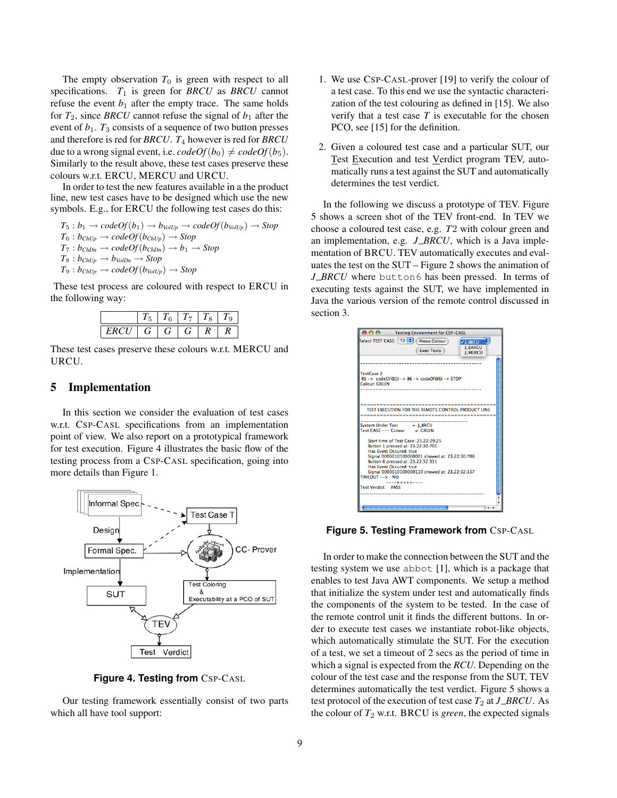The empty observation  $T_0$  is green with respect to all specifications.  $T_1$  is green for *BRCU* as *BRCU* cannot refuse the event  $b_1$  after the empty trace. The same holds for  $T_2$ , since *BRCU* cannot refuse the signal of  $b_1$  after the event of  $b_1$ .  $T_3$  consists of a sequence of two button presses and therefore is red for *BRCU*.  $T_4$  however is red for *BRCU* due to a wrong signal event, i.e.  $codeOf(b_0) \neq codeOf(b_5)$ . Similarly to the result above, these test cases preserve these colours w.r.t. ERCU, MERCU and URCU.

In order to test the new features available in a the product line, new test cases have to be designed which use the new symbols. E.g., for ERCU the following test cases do this:

 $T_5: b_1 \rightarrow codeOf(b_1) \rightarrow b_{VolUp} \rightarrow codeOf(b_{VolUp}) \rightarrow Stop$  $T_6$  :  $b_{ChUp} \rightarrow codeOf(b_{ChUp}) \rightarrow Stop$  $T_7$  :  $b_{ChDn} \rightarrow codeOf(b_{ChDn}) \rightarrow b_1 \rightarrow Stop$  $T_8 : b_{ChUp} \rightarrow b_{VolDn} \rightarrow Stop$  $T_9: b_{ChUp} \rightarrow codeOf(b_{VolUp}) \rightarrow Stop$ 

These test process are coloured with respect to ERCU in the following way:

| $\sim$ |  |  |  |
|--------|--|--|--|

These test cases preserve these colours w.r.t. MERCU and URCU.

## 5 Implementation

In this section we consider the evaluation of test cases w.r.t. CSP-CASL specifications from an implementation point of view. We also report on a prototypical framework for test execution. Figure 4 illustrates the basic flow of the testing process from a CSP-CASL specification, going into more details than Figure 1.



**Figure 4. Testing from** CSP-CASL

Our testing framework essentially consist of two parts which all have tool support:

- 1. We use CSP-CASL-prover [19] to verify the colour of a test case. To this end we use the syntactic characterization of the test colouring as defined in [15]. We also verify that a test case  $T$  is executable for the chosen PCO, see [15] for the definition.
- 2. Given a coloured test case and a particular SUT, our Test Execution and test Verdict program TEV, automatically runs a test against the SUT and automatically determines the test verdict.

In the following we discuss a prototype of TEV. Figure 5 shows a screen shot of the TEV front-end. In TEV we choose a coloured test case, e.g. *T*2 with colour green and an implementation, e.g. *J BRCU*, which is a Java implementation of BRCU. TEV automatically executes and evaluates the test on the SUT – Figure 2 shows the animation of *J BRCU* where button6 has been pressed. In terms of executing tests against the SUT, we have implemented in Java the various version of the remote control discussed in section 3.



**Figure 5. Testing Framework from** CSP-CASL

In order to make the connection between the SUT and the testing system we use abbot [1], which is a package that enables to test Java AWT components. We setup a method that initialize the system under test and automatically finds the components of the system to be tested. In the case of the remote control unit it finds the different buttons. In order to execute test cases we instantiate robot-like objects, which automatically stimulate the SUT. For the execution of a test, we set a timeout of 2 secs as the period of time in which a signal is expected from the *RCU*. Depending on the colour of the test case and the response from the SUT, TEV determines automatically the test verdict. Figure 5 shows a test protocol of the execution of test case  $T_2$  at *J\_BRCU*. As the colour of  $T_2$  w.r.t. BRCU is *green*, the expected signals